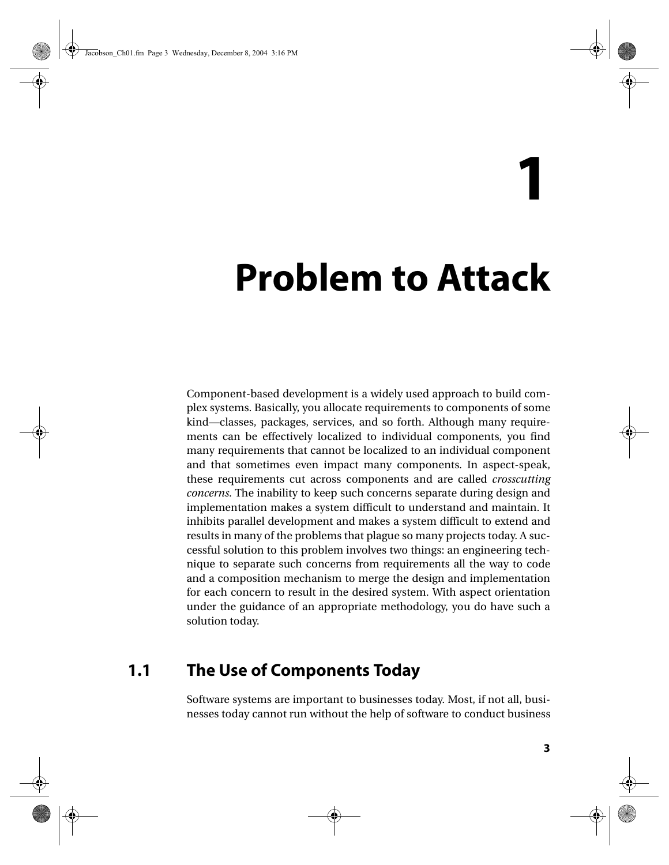# **1 Problem to Attack**

Component-based development is a widely used approach to build complex systems. Basically, you allocate requirements to components of some kind—classes, packages, services, and so forth. Although many requirements can be effectively localized to individual components, you find many requirements that cannot be localized to an individual component and that sometimes even impact many components. In aspect-speak, these requirements cut across components and are called *crosscutting concerns*. The inability to keep such concerns separate during design and implementation makes a system difficult to understand and maintain. It inhibits parallel development and makes a system difficult to extend and results in many of the problems that plague so many projects today. A successful solution to this problem involves two things: an engineering technique to separate such concerns from requirements all the way to code and a composition mechanism to merge the design and implementation for each concern to result in the desired system. With aspect orientation under the guidance of an appropriate methodology, you do have such a solution today.

# **1.1 The Use of Components Today**

Software systems are important to businesses today. Most, if not all, businesses today cannot run without the help of software to conduct business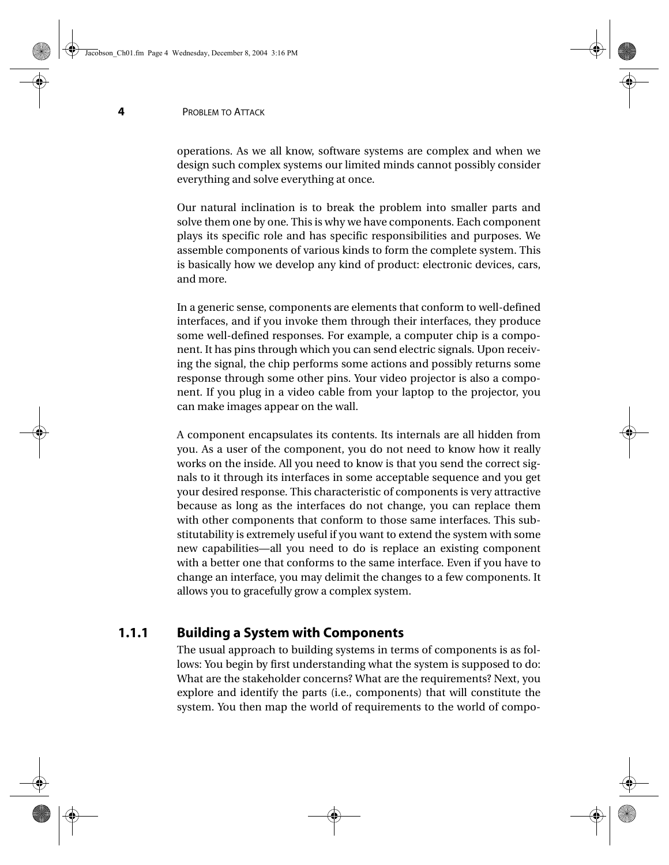operations. As we all know, software systems are complex and when we design such complex systems our limited minds cannot possibly consider everything and solve everything at once.

Our natural inclination is to break the problem into smaller parts and solve them one by one. This is why we have components. Each component plays its specific role and has specific responsibilities and purposes. We assemble components of various kinds to form the complete system. This is basically how we develop any kind of product: electronic devices, cars, and more.

In a generic sense, components are elements that conform to well-defined interfaces, and if you invoke them through their interfaces, they produce some well-defined responses. For example, a computer chip is a component. It has pins through which you can send electric signals. Upon receiving the signal, the chip performs some actions and possibly returns some response through some other pins. Your video projector is also a component. If you plug in a video cable from your laptop to the projector, you can make images appear on the wall.

A component encapsulates its contents. Its internals are all hidden from you. As a user of the component, you do not need to know how it really works on the inside. All you need to know is that you send the correct signals to it through its interfaces in some acceptable sequence and you get your desired response. This characteristic of components is very attractive because as long as the interfaces do not change, you can replace them with other components that conform to those same interfaces. This substitutability is extremely useful if you want to extend the system with some new capabilities—all you need to do is replace an existing component with a better one that conforms to the same interface. Even if you have to change an interface, you may delimit the changes to a few components. It allows you to gracefully grow a complex system.

#### **1.1.1 Building a System with Components**

The usual approach to building systems in terms of components is as follows: You begin by first understanding what the system is supposed to do: What are the stakeholder concerns? What are the requirements? Next, you explore and identify the parts (i.e., components) that will constitute the system. You then map the world of requirements to the world of compo-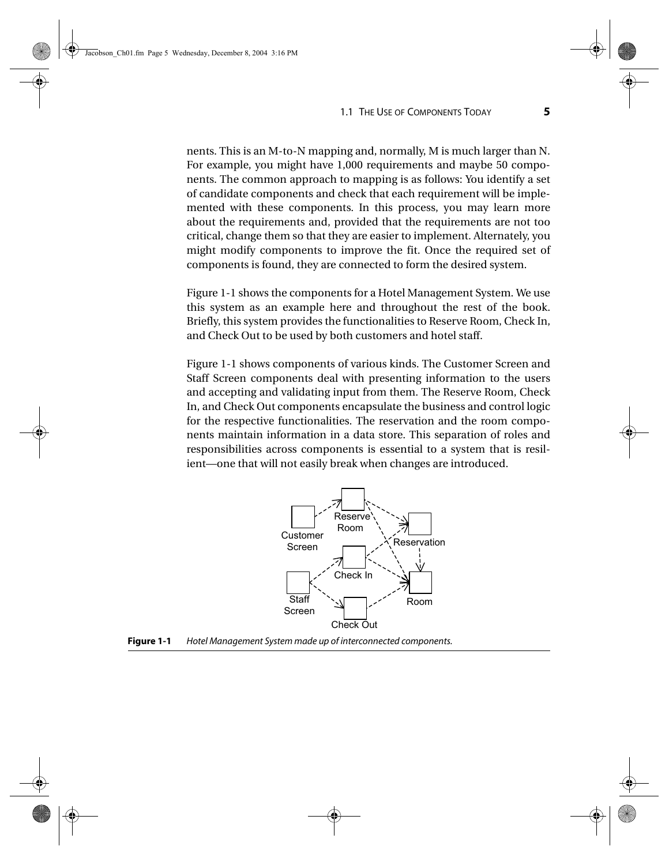#### 1.1 THE USE OF COMPONENTS TODAY **5**

nents. This is an M-to-N mapping and, normally, M is much larger than N. For example, you might have 1,000 requirements and maybe 50 components. The common approach to mapping is as follows: You identify a set of candidate components and check that each requirement will be implemented with these components. In this process, you may learn more about the requirements and, provided that the requirements are not too critical, change them so that they are easier to implement. Alternately, you might modify components to improve the fit. Once the required set of components is found, they are connected to form the desired system.

Figure 1-1 shows the components for a Hotel Management System. We use this system as an example here and throughout the rest of the book. Briefly, this system provides the functionalities to Reserve Room, Check In, and Check Out to be used by both customers and hotel staff.

Figure 1-1 shows components of various kinds. The Customer Screen and Staff Screen components deal with presenting information to the users and accepting and validating input from them. The Reserve Room, Check In, and Check Out components encapsulate the business and control logic for the respective functionalities. The reservation and the room components maintain information in a data store. This separation of roles and responsibilities across components is essential to a system that is resilient—one that will not easily break when changes are introduced.



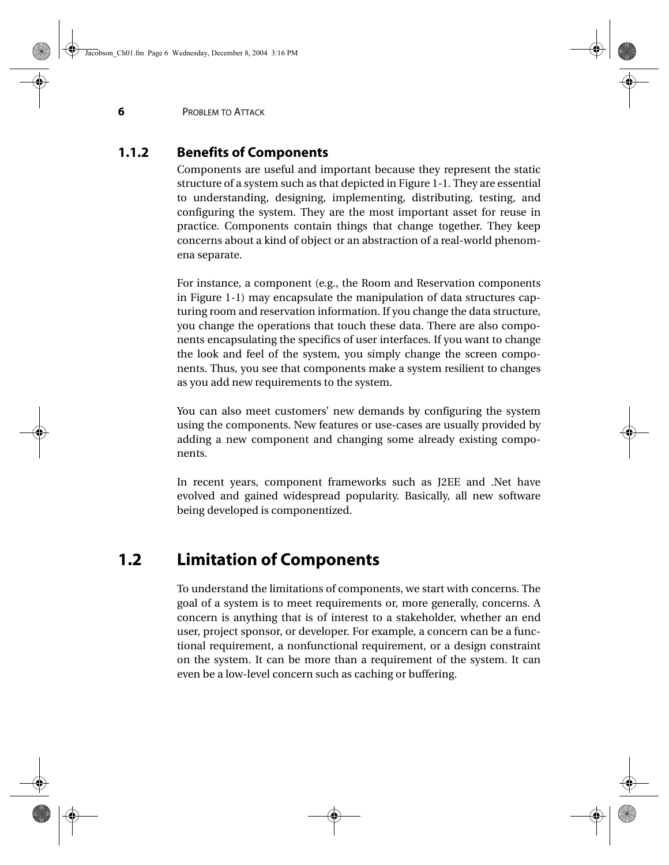## **1.1.2 Benefits of Components**

Components are useful and important because they represent the static structure of a system such as that depicted in Figure 1-1. They are essential to understanding, designing, implementing, distributing, testing, and configuring the system. They are the most important asset for reuse in practice. Components contain things that change together. They keep concerns about a kind of object or an abstraction of a real-world phenomena separate.

For instance, a component (e.g., the Room and Reservation components in Figure 1-1) may encapsulate the manipulation of data structures capturing room and reservation information. If you change the data structure, you change the operations that touch these data. There are also components encapsulating the specifics of user interfaces. If you want to change the look and feel of the system, you simply change the screen components. Thus, you see that components make a system resilient to changes as you add new requirements to the system.

You can also meet customers' new demands by configuring the system using the components. New features or use-cases are usually provided by adding a new component and changing some already existing components.

In recent years, component frameworks such as J2EE and .Net have evolved and gained widespread popularity. Basically, all new software being developed is componentized.

# **1.2 Limitation of Components**

To understand the limitations of components, we start with concerns. The goal of a system is to meet requirements or, more generally, concerns. A concern is anything that is of interest to a stakeholder, whether an end user, project sponsor, or developer. For example, a concern can be a functional requirement, a nonfunctional requirement, or a design constraint on the system. It can be more than a requirement of the system. It can even be a low-level concern such as caching or buffering.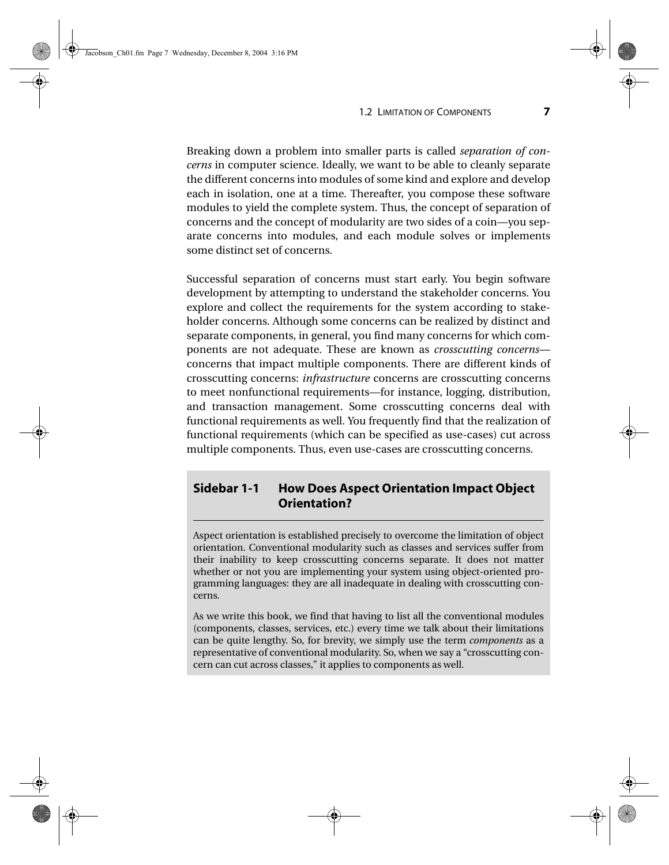#### 1.2 LIMITATION OF COMPONENTS **7**

Breaking down a problem into smaller parts is called *separation of concerns* in computer science. Ideally, we want to be able to cleanly separate the different concerns into modules of some kind and explore and develop each in isolation, one at a time. Thereafter, you compose these software modules to yield the complete system. Thus, the concept of separation of concerns and the concept of modularity are two sides of a coin—you separate concerns into modules, and each module solves or implements some distinct set of concerns.

Successful separation of concerns must start early. You begin software development by attempting to understand the stakeholder concerns. You explore and collect the requirements for the system according to stakeholder concerns. Although some concerns can be realized by distinct and separate components, in general, you find many concerns for which components are not adequate. These are known as *crosscutting concerns* concerns that impact multiple components. There are different kinds of crosscutting concerns: *infrastructure* concerns are crosscutting concerns to meet nonfunctional requirements—for instance, logging, distribution, and transaction management. Some crosscutting concerns deal with functional requirements as well. You frequently find that the realization of functional requirements (which can be specified as use-cases) cut across multiple components. Thus, even use-cases are crosscutting concerns.

## **Sidebar 1-1 How Does Aspect Orientation Impact Object Orientation?**

Aspect orientation is established precisely to overcome the limitation of object orientation. Conventional modularity such as classes and services suffer from their inability to keep crosscutting concerns separate. It does not matter whether or not you are implementing your system using object-oriented programming languages: they are all inadequate in dealing with crosscutting concerns.

As we write this book, we find that having to list all the conventional modules (components, classes, services, etc.) every time we talk about their limitations can be quite lengthy. So, for brevity, we simply use the term *components* as a representative of conventional modularity. So, when we say a "crosscutting concern can cut across classes," it applies to components as well.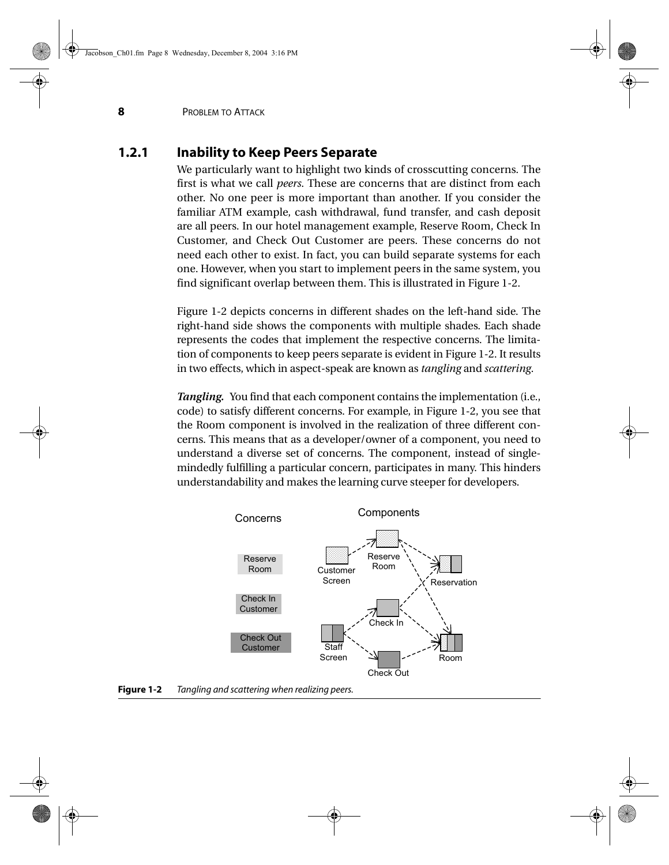#### **1.2.1 Inability to Keep Peers Separate**

We particularly want to highlight two kinds of crosscutting concerns. The first is what we call *peers*. These are concerns that are distinct from each other. No one peer is more important than another. If you consider the familiar ATM example, cash withdrawal, fund transfer, and cash deposit are all peers. In our hotel management example, Reserve Room, Check In Customer, and Check Out Customer are peers. These concerns do not need each other to exist. In fact, you can build separate systems for each one. However, when you start to implement peers in the same system, you find significant overlap between them. This is illustrated in Figure 1-2.

Figure 1-2 depicts concerns in different shades on the left-hand side. The right-hand side shows the components with multiple shades. Each shade represents the codes that implement the respective concerns. The limitation of components to keep peers separate is evident in Figure 1-2. It results in two effects, which in aspect-speak are known as *tangling* and *scattering*.

*Tangling.* You find that each component contains the implementation (i.e., code) to satisfy different concerns. For example, in Figure 1-2, you see that the Room component is involved in the realization of three different concerns. This means that as a developer/owner of a component, you need to understand a diverse set of concerns. The component, instead of singlemindedly fulfilling a particular concern, participates in many. This hinders understandability and makes the learning curve steeper for developers.



**Figure 1-2** *Tangling and scattering when realizing peers.*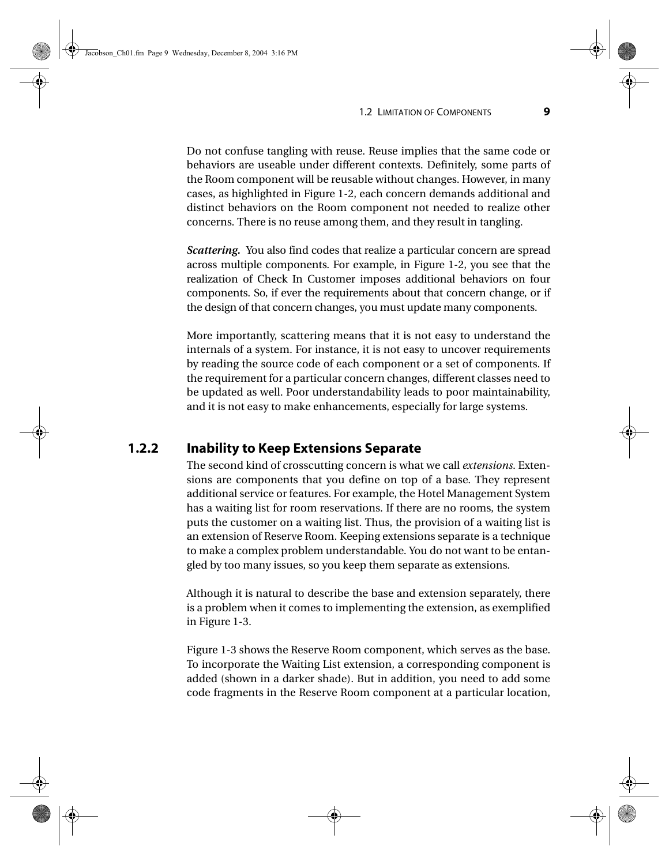#### 1.2 LIMITATION OF COMPONENTS **9**

Do not confuse tangling with reuse. Reuse implies that the same code or behaviors are useable under different contexts. Definitely, some parts of the Room component will be reusable without changes. However, in many cases, as highlighted in Figure 1-2, each concern demands additional and distinct behaviors on the Room component not needed to realize other concerns. There is no reuse among them, and they result in tangling.

*Scattering.* You also find codes that realize a particular concern are spread across multiple components. For example, in Figure 1-2, you see that the realization of Check In Customer imposes additional behaviors on four components. So, if ever the requirements about that concern change, or if the design of that concern changes, you must update many components.

More importantly, scattering means that it is not easy to understand the internals of a system. For instance, it is not easy to uncover requirements by reading the source code of each component or a set of components. If the requirement for a particular concern changes, different classes need to be updated as well. Poor understandability leads to poor maintainability, and it is not easy to make enhancements, especially for large systems.

### **1.2.2 Inability to Keep Extensions Separate**

The second kind of crosscutting concern is what we call *extensions*. Extensions are components that you define on top of a base. They represent additional service or features. For example, the Hotel Management System has a waiting list for room reservations. If there are no rooms, the system puts the customer on a waiting list. Thus, the provision of a waiting list is an extension of Reserve Room. Keeping extensions separate is a technique to make a complex problem understandable. You do not want to be entangled by too many issues, so you keep them separate as extensions.

Although it is natural to describe the base and extension separately, there is a problem when it comes to implementing the extension, as exemplified in Figure 1-3.

Figure 1-3 shows the Reserve Room component, which serves as the base. To incorporate the Waiting List extension, a corresponding component is added (shown in a darker shade). But in addition, you need to add some code fragments in the Reserve Room component at a particular location,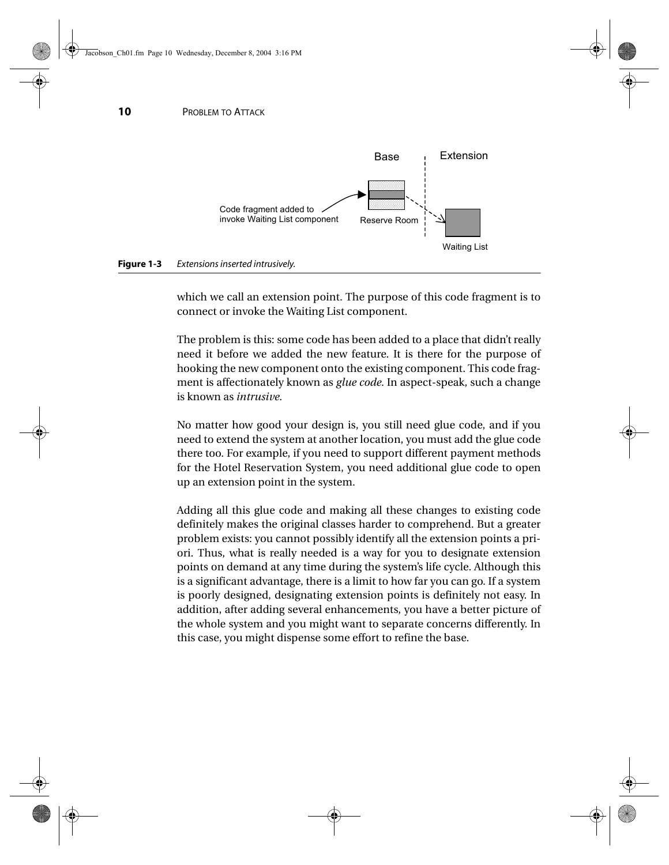

which we call an extension point. The purpose of this code fragment is to connect or invoke the Waiting List component.

The problem is this: some code has been added to a place that didn't really need it before we added the new feature. It is there for the purpose of hooking the new component onto the existing component. This code fragment is affectionately known as *glue code*. In aspect-speak, such a change is known as *intrusive*.

No matter how good your design is, you still need glue code, and if you need to extend the system at another location, you must add the glue code there too. For example, if you need to support different payment methods for the Hotel Reservation System, you need additional glue code to open up an extension point in the system.

Adding all this glue code and making all these changes to existing code definitely makes the original classes harder to comprehend. But a greater problem exists: you cannot possibly identify all the extension points a priori. Thus, what is really needed is a way for you to designate extension points on demand at any time during the system's life cycle. Although this is a significant advantage, there is a limit to how far you can go. If a system is poorly designed, designating extension points is definitely not easy. In addition, after adding several enhancements, you have a better picture of the whole system and you might want to separate concerns differently. In this case, you might dispense some effort to refine the base.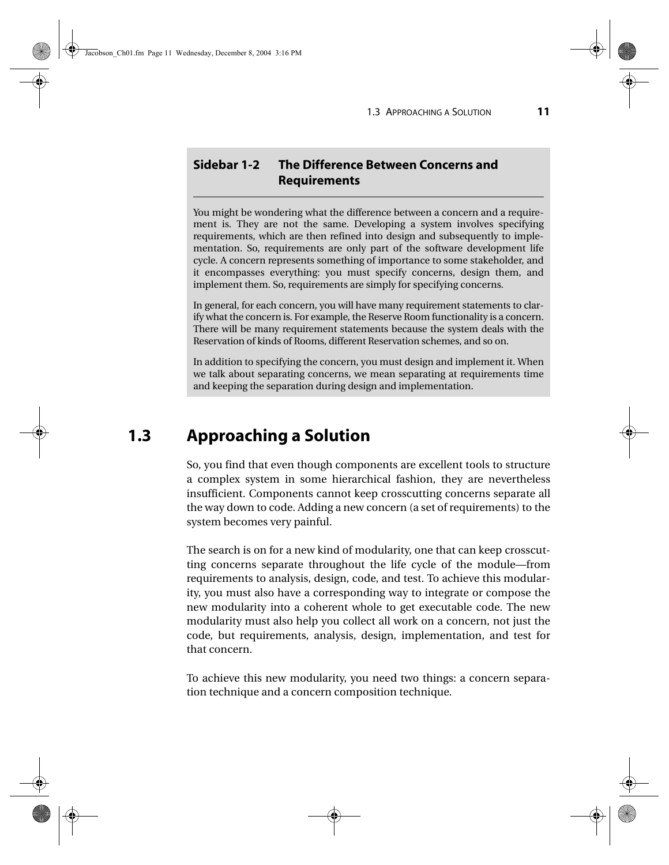1.3 APPROACHING A SOLUTION **11**

## **Sidebar 1-2 The Difference Between Concerns and Requirements**

You might be wondering what the difference between a concern and a requirement is. They are not the same. Developing a system involves specifying requirements, which are then refined into design and subsequently to implementation. So, requirements are only part of the software development life cycle. A concern represents something of importance to some stakeholder, and it encompasses everything: you must specify concerns, design them, and implement them. So, requirements are simply for specifying concerns.

In general, for each concern, you will have many requirement statements to clarify what the concern is. For example, the Reserve Room functionality is a concern. There will be many requirement statements because the system deals with the Reservation of kinds of Rooms, different Reservation schemes, and so on.

In addition to specifying the concern, you must design and implement it. When we talk about separating concerns, we mean separating at requirements time and keeping the separation during design and implementation.

# **1.3 Approaching a Solution**

So, you find that even though components are excellent tools to structure a complex system in some hierarchical fashion, they are nevertheless insufficient. Components cannot keep crosscutting concerns separate all the way down to code. Adding a new concern (a set of requirements) to the system becomes very painful.

The search is on for a new kind of modularity, one that can keep crosscutting concerns separate throughout the life cycle of the module—from requirements to analysis, design, code, and test. To achieve this modularity, you must also have a corresponding way to integrate or compose the new modularity into a coherent whole to get executable code. The new modularity must also help you collect all work on a concern, not just the code, but requirements, analysis, design, implementation, and test for that concern.

To achieve this new modularity, you need two things: a concern separation technique and a concern composition technique.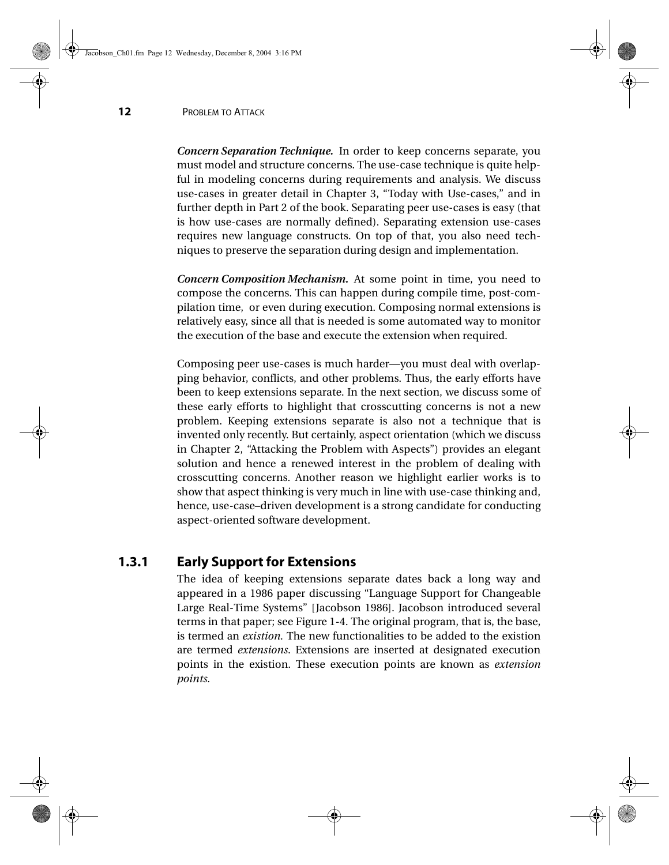Jacobson\_Ch01.fm Page 12 Wednesday, December 8, 2004 3:16 PM

*Concern Separation Technique.* In order to keep concerns separate, you must model and structure concerns. The use-case technique is quite helpful in modeling concerns during requirements and analysis. We discuss use-cases in greater detail in Chapter 3, "Today with Use-cases," and in further depth in Part 2 of the book. Separating peer use-cases is easy (that is how use-cases are normally defined). Separating extension use-cases requires new language constructs. On top of that, you also need techniques to preserve the separation during design and implementation.

*Concern Composition Mechanism.* At some point in time, you need to compose the concerns. This can happen during compile time, post-compilation time, or even during execution. Composing normal extensions is relatively easy, since all that is needed is some automated way to monitor the execution of the base and execute the extension when required.

Composing peer use-cases is much harder—you must deal with overlapping behavior, conflicts, and other problems. Thus, the early efforts have been to keep extensions separate. In the next section, we discuss some of these early efforts to highlight that crosscutting concerns is not a new problem. Keeping extensions separate is also not a technique that is invented only recently. But certainly, aspect orientation (which we discuss in Chapter 2, "Attacking the Problem with Aspects") provides an elegant solution and hence a renewed interest in the problem of dealing with crosscutting concerns. Another reason we highlight earlier works is to show that aspect thinking is very much in line with use-case thinking and, hence, use-case–driven development is a strong candidate for conducting aspect-oriented software development.

#### **1.3.1 Early Support for Extensions**

The idea of keeping extensions separate dates back a long way and appeared in a 1986 paper discussing "Language Support for Changeable Large Real-Time Systems" [Jacobson 1986]. Jacobson introduced several terms in that paper; see Figure 1-4. The original program, that is, the base, is termed an *existion.* The new functionalities to be added to the existion are termed *extensions*. Extensions are inserted at designated execution points in the existion. These execution points are known as *extension points*.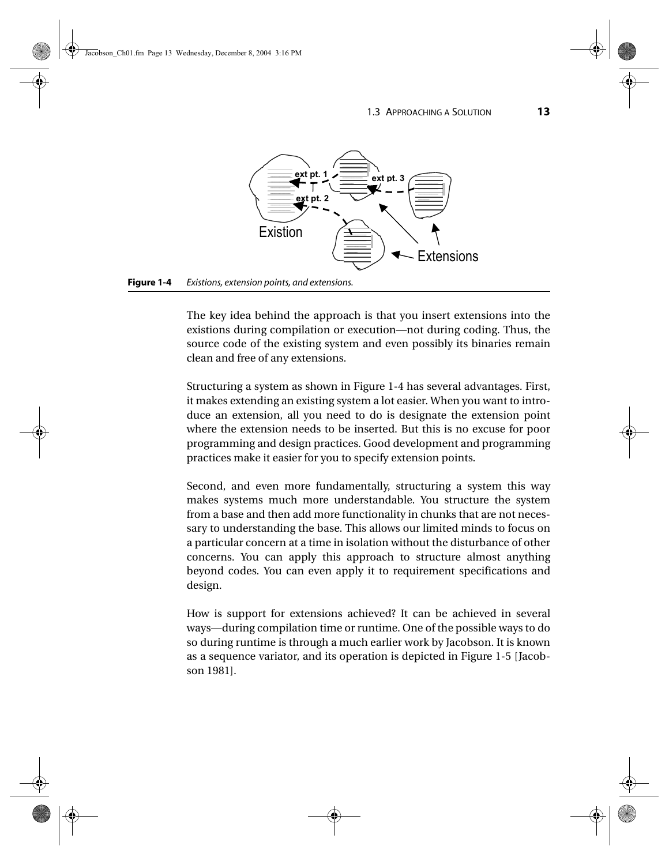





The key idea behind the approach is that you insert extensions into the existions during compilation or execution—not during coding. Thus, the source code of the existing system and even possibly its binaries remain clean and free of any extensions.

Structuring a system as shown in Figure 1-4 has several advantages. First, it makes extending an existing system a lot easier. When you want to introduce an extension, all you need to do is designate the extension point where the extension needs to be inserted. But this is no excuse for poor programming and design practices. Good development and programming practices make it easier for you to specify extension points.

Second, and even more fundamentally, structuring a system this way makes systems much more understandable. You structure the system from a base and then add more functionality in chunks that are not necessary to understanding the base. This allows our limited minds to focus on a particular concern at a time in isolation without the disturbance of other concerns. You can apply this approach to structure almost anything beyond codes. You can even apply it to requirement specifications and design.

How is support for extensions achieved? It can be achieved in several ways—during compilation time or runtime. One of the possible ways to do so during runtime is through a much earlier work by Jacobson. It is known as a sequence variator, and its operation is depicted in Figure 1-5 [Jacobson 1981].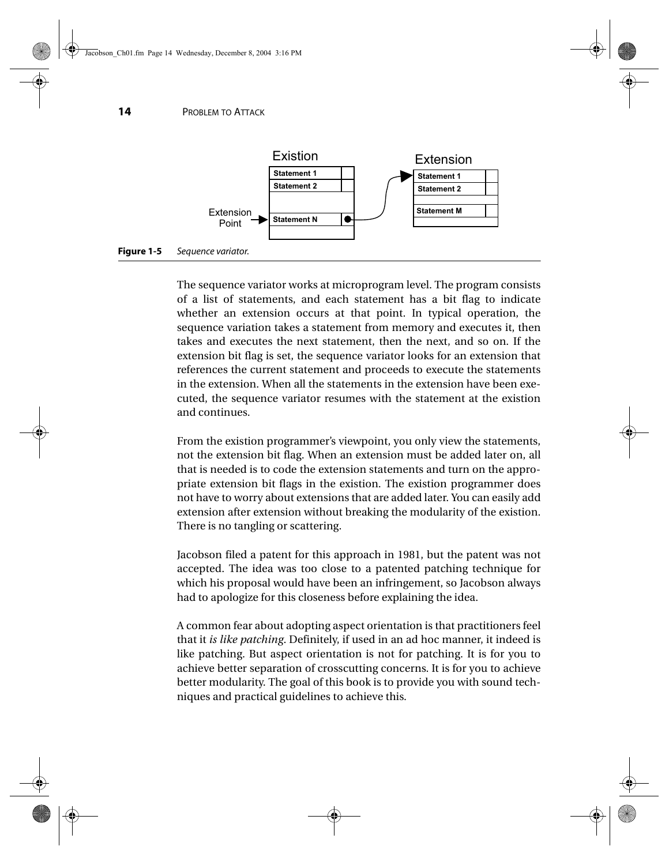

The sequence variator works at microprogram level. The program consists of a list of statements, and each statement has a bit flag to indicate whether an extension occurs at that point. In typical operation, the sequence variation takes a statement from memory and executes it, then takes and executes the next statement, then the next, and so on. If the extension bit flag is set, the sequence variator looks for an extension that references the current statement and proceeds to execute the statements in the extension. When all the statements in the extension have been executed, the sequence variator resumes with the statement at the existion and continues.

From the existion programmer's viewpoint, you only view the statements, not the extension bit flag. When an extension must be added later on, all that is needed is to code the extension statements and turn on the appropriate extension bit flags in the existion. The existion programmer does not have to worry about extensions that are added later. You can easily add extension after extension without breaking the modularity of the existion. There is no tangling or scattering.

Jacobson filed a patent for this approach in 1981, but the patent was not accepted. The idea was too close to a patented patching technique for which his proposal would have been an infringement, so Jacobson always had to apologize for this closeness before explaining the idea.

A common fear about adopting aspect orientation is that practitioners feel that it *is like patching*. Definitely, if used in an ad hoc manner, it indeed is like patching. But aspect orientation is not for patching. It is for you to achieve better separation of crosscutting concerns. It is for you to achieve better modularity. The goal of this book is to provide you with sound techniques and practical guidelines to achieve this.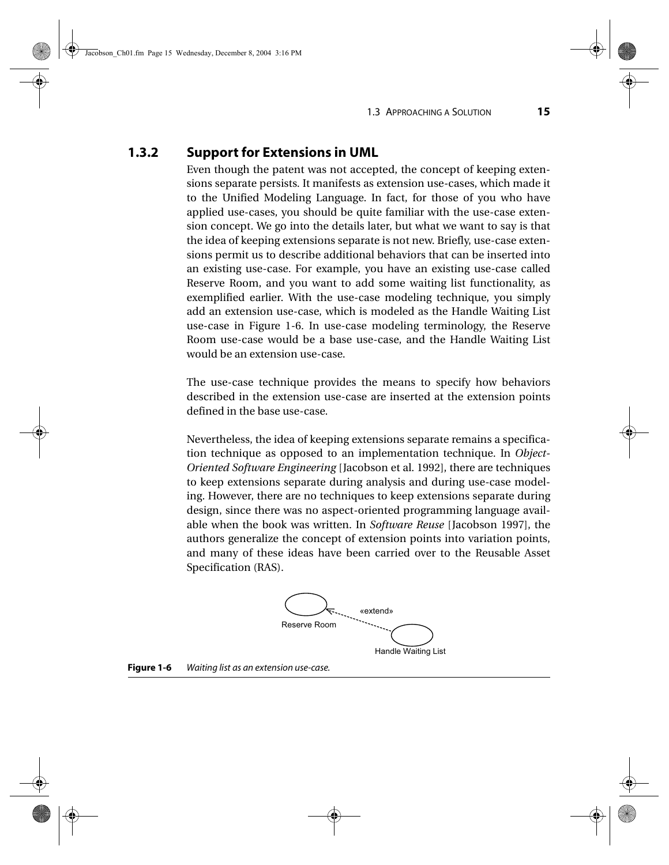1.3 APPROACHING A SOLUTION **15**

## **1.3.2 Support for Extensions in UML**

Even though the patent was not accepted, the concept of keeping extensions separate persists. It manifests as extension use-cases, which made it to the Unified Modeling Language. In fact, for those of you who have applied use-cases, you should be quite familiar with the use-case extension concept. We go into the details later, but what we want to say is that the idea of keeping extensions separate is not new. Briefly, use-case extensions permit us to describe additional behaviors that can be inserted into an existing use-case. For example, you have an existing use-case called Reserve Room, and you want to add some waiting list functionality, as exemplified earlier. With the use-case modeling technique, you simply add an extension use-case, which is modeled as the Handle Waiting List use-case in Figure 1-6. In use-case modeling terminology, the Reserve Room use-case would be a base use-case, and the Handle Waiting List would be an extension use-case.

The use-case technique provides the means to specify how behaviors described in the extension use-case are inserted at the extension points defined in the base use-case.

Nevertheless, the idea of keeping extensions separate remains a specification technique as opposed to an implementation technique. In *Object-Oriented Software Engineering* [Jacobson et al. 1992], there are techniques to keep extensions separate during analysis and during use-case modeling. However, there are no techniques to keep extensions separate during design, since there was no aspect-oriented programming language available when the book was written. In *Software Reuse* [Jacobson 1997], the authors generalize the concept of extension points into variation points, and many of these ideas have been carried over to the Reusable Asset Specification (RAS).